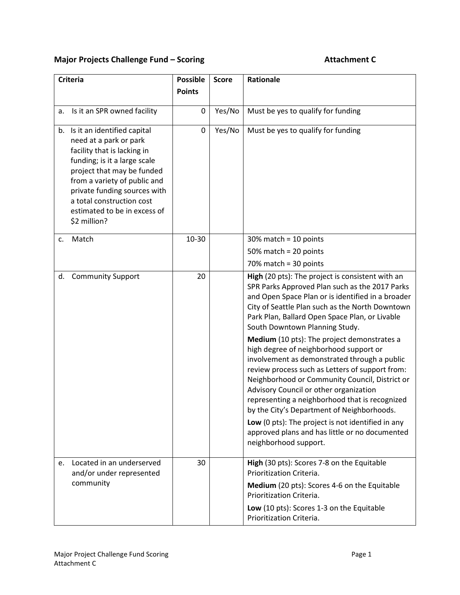## Major Projects Challenge Fund – Scoring and Attachment C

| <b>Criteria</b>                                                                                                                                                                                                                                                                                    | <b>Possible</b> | <b>Score</b> | <b>Rationale</b>                                                                                                                                                                                                                                                                                                                                                                                                                                                                                                                                                                                                                                                                                                                                                                                                       |
|----------------------------------------------------------------------------------------------------------------------------------------------------------------------------------------------------------------------------------------------------------------------------------------------------|-----------------|--------------|------------------------------------------------------------------------------------------------------------------------------------------------------------------------------------------------------------------------------------------------------------------------------------------------------------------------------------------------------------------------------------------------------------------------------------------------------------------------------------------------------------------------------------------------------------------------------------------------------------------------------------------------------------------------------------------------------------------------------------------------------------------------------------------------------------------------|
|                                                                                                                                                                                                                                                                                                    | <b>Points</b>   |              |                                                                                                                                                                                                                                                                                                                                                                                                                                                                                                                                                                                                                                                                                                                                                                                                                        |
| Is it an SPR owned facility<br>a.                                                                                                                                                                                                                                                                  | 0               | Yes/No       | Must be yes to qualify for funding                                                                                                                                                                                                                                                                                                                                                                                                                                                                                                                                                                                                                                                                                                                                                                                     |
| b. Is it an identified capital<br>need at a park or park<br>facility that is lacking in<br>funding; is it a large scale<br>project that may be funded<br>from a variety of public and<br>private funding sources with<br>a total construction cost<br>estimated to be in excess of<br>\$2 million? | 0               | Yes/No       | Must be yes to qualify for funding                                                                                                                                                                                                                                                                                                                                                                                                                                                                                                                                                                                                                                                                                                                                                                                     |
| Match<br>c.                                                                                                                                                                                                                                                                                        | 10-30           |              | $30\%$ match = 10 points                                                                                                                                                                                                                                                                                                                                                                                                                                                                                                                                                                                                                                                                                                                                                                                               |
|                                                                                                                                                                                                                                                                                                    |                 |              | 50% match = $20$ points                                                                                                                                                                                                                                                                                                                                                                                                                                                                                                                                                                                                                                                                                                                                                                                                |
|                                                                                                                                                                                                                                                                                                    |                 |              | 70% match = $30$ points                                                                                                                                                                                                                                                                                                                                                                                                                                                                                                                                                                                                                                                                                                                                                                                                |
| d.<br><b>Community Support</b>                                                                                                                                                                                                                                                                     | 20              |              | High (20 pts): The project is consistent with an<br>SPR Parks Approved Plan such as the 2017 Parks<br>and Open Space Plan or is identified in a broader<br>City of Seattle Plan such as the North Downtown<br>Park Plan, Ballard Open Space Plan, or Livable<br>South Downtown Planning Study.<br>Medium (10 pts): The project demonstrates a<br>high degree of neighborhood support or<br>involvement as demonstrated through a public<br>review process such as Letters of support from:<br>Neighborhood or Community Council, District or<br>Advisory Council or other organization<br>representing a neighborhood that is recognized<br>by the City's Department of Neighborhoods.<br>Low (0 pts): The project is not identified in any<br>approved plans and has little or no documented<br>neighborhood support. |
| Located in an underserved<br>e.<br>and/or under represented<br>community                                                                                                                                                                                                                           | 30              |              | High (30 pts): Scores 7-8 on the Equitable<br>Prioritization Criteria.<br>Medium (20 pts): Scores 4-6 on the Equitable<br>Prioritization Criteria.                                                                                                                                                                                                                                                                                                                                                                                                                                                                                                                                                                                                                                                                     |
|                                                                                                                                                                                                                                                                                                    |                 |              | Low (10 pts): Scores 1-3 on the Equitable<br>Prioritization Criteria.                                                                                                                                                                                                                                                                                                                                                                                                                                                                                                                                                                                                                                                                                                                                                  |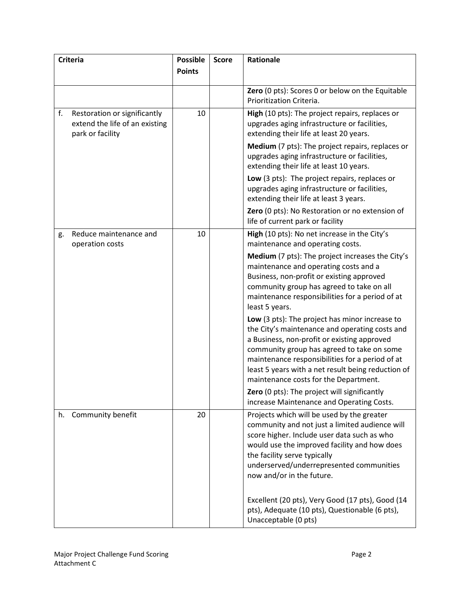| <b>Criteria</b> |                                                                                    | <b>Possible</b> | <b>Score</b> | <b>Rationale</b>                                                                                                                                                                                                                                                                                                                                                                                                                                                                                                                                                                                                                                                                                                                                                                             |
|-----------------|------------------------------------------------------------------------------------|-----------------|--------------|----------------------------------------------------------------------------------------------------------------------------------------------------------------------------------------------------------------------------------------------------------------------------------------------------------------------------------------------------------------------------------------------------------------------------------------------------------------------------------------------------------------------------------------------------------------------------------------------------------------------------------------------------------------------------------------------------------------------------------------------------------------------------------------------|
|                 |                                                                                    | <b>Points</b>   |              |                                                                                                                                                                                                                                                                                                                                                                                                                                                                                                                                                                                                                                                                                                                                                                                              |
|                 |                                                                                    |                 |              | Zero (0 pts): Scores 0 or below on the Equitable<br>Prioritization Criteria.                                                                                                                                                                                                                                                                                                                                                                                                                                                                                                                                                                                                                                                                                                                 |
| f.              | Restoration or significantly<br>extend the life of an existing<br>park or facility | 10              |              | High (10 pts): The project repairs, replaces or<br>upgrades aging infrastructure or facilities,<br>extending their life at least 20 years.                                                                                                                                                                                                                                                                                                                                                                                                                                                                                                                                                                                                                                                   |
|                 |                                                                                    |                 |              | Medium (7 pts): The project repairs, replaces or<br>upgrades aging infrastructure or facilities,<br>extending their life at least 10 years.                                                                                                                                                                                                                                                                                                                                                                                                                                                                                                                                                                                                                                                  |
|                 |                                                                                    |                 |              | Low (3 pts): The project repairs, replaces or<br>upgrades aging infrastructure or facilities,<br>extending their life at least 3 years.                                                                                                                                                                                                                                                                                                                                                                                                                                                                                                                                                                                                                                                      |
|                 |                                                                                    |                 |              | Zero (0 pts): No Restoration or no extension of<br>life of current park or facility                                                                                                                                                                                                                                                                                                                                                                                                                                                                                                                                                                                                                                                                                                          |
| g.              | Reduce maintenance and<br>operation costs                                          | 10              |              | High (10 pts): No net increase in the City's<br>maintenance and operating costs.<br>Medium (7 pts): The project increases the City's<br>maintenance and operating costs and a<br>Business, non-profit or existing approved<br>community group has agreed to take on all<br>maintenance responsibilities for a period of at<br>least 5 years.<br>Low (3 pts): The project has minor increase to<br>the City's maintenance and operating costs and<br>a Business, non-profit or existing approved<br>community group has agreed to take on some<br>maintenance responsibilities for a period of at<br>least 5 years with a net result being reduction of<br>maintenance costs for the Department.<br>Zero (0 pts): The project will significantly<br>increase Maintenance and Operating Costs. |
|                 | h. Community benefit                                                               | 20              |              | Projects which will be used by the greater<br>community and not just a limited audience will<br>score higher. Include user data such as who<br>would use the improved facility and how does<br>the facility serve typically<br>underserved/underrepresented communities<br>now and/or in the future.<br>Excellent (20 pts), Very Good (17 pts), Good (14<br>pts), Adequate (10 pts), Questionable (6 pts),<br>Unacceptable (0 pts)                                                                                                                                                                                                                                                                                                                                                           |